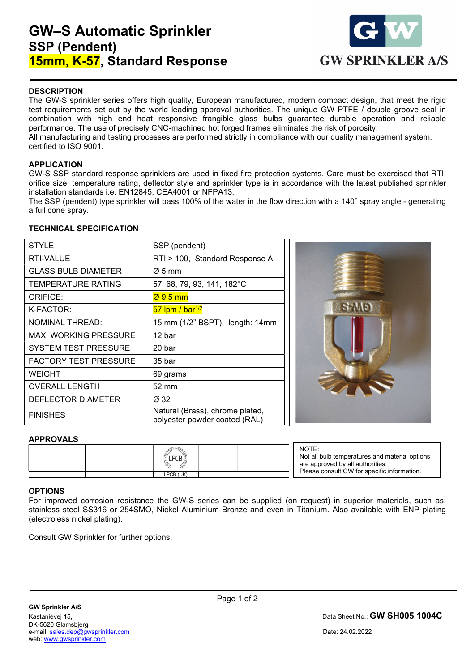# GW–S Automatic Sprinkler SSP (Pendent) 15mm, K-57, Standard Response



# **DESCRIPTION**

The GW-S sprinkler series offers high quality, European manufactured, modern compact design, that meet the rigid test requirements set out by the world leading approval authorities. The unique GW PTFE / double groove seal in combination with high end heat responsive frangible glass bulbs guarantee durable operation and reliable performance. The use of precisely CNC-machined hot forged frames eliminates the risk of porosity. All manufacturing and testing processes are performed strictly in compliance with our quality management system, certified to ISO 9001.

### APPLICATION

GW-S SSP standard response sprinklers are used in fixed fire protection systems. Care must be exercised that RTI, orifice size, temperature rating, deflector style and sprinkler type is in accordance with the latest published sprinkler installation standards i.e. EN12845, CEA4001 or NFPA13.

The SSP (pendent) type sprinkler will pass 100% of the water in the flow direction with a 140° spray angle - generating a full cone spray.

#### TECHNICAL SPECIFICATION

| <b>STYLE</b>                 | SSP (pendent)                                                    |  |  |
|------------------------------|------------------------------------------------------------------|--|--|
| RTI-VALUE                    | RTI > 100, Standard Response A                                   |  |  |
| <b>GLASS BULB DIAMETER</b>   | $\varnothing$ 5 mm                                               |  |  |
| TEMPERATURE RATING           | 57, 68, 79, 93, 141, 182°C                                       |  |  |
| ORIFICE:                     | $\varnothing$ 9,5 mm                                             |  |  |
| K-FACTOR:                    | $57$ lpm / bar <sup>1/2</sup>                                    |  |  |
| <b>NOMINAL THREAD:</b>       | 15 mm (1/2" BSPT), length: 14mm                                  |  |  |
| MAX. WORKING PRESSURE        | 12 bar                                                           |  |  |
| <b>SYSTEM TEST PRESSURE</b>  | 20 bar                                                           |  |  |
| <b>FACTORY TEST PRESSURE</b> | 35 <sub>bar</sub>                                                |  |  |
| WEIGHT                       | 69 grams                                                         |  |  |
| <b>OVERALL LENGTH</b>        | 52 mm                                                            |  |  |
| DEFLECTOR DIAMETER           | Ø 32                                                             |  |  |
| <b>FINISHES</b>              | Natural (Brass), chrome plated,<br>polyester powder coated (RAL) |  |  |



#### **APPROVALS**

|  | l4<br>12<br>ີ<br>$\sqrt{6}$<br>,,<br>18) |  |
|--|------------------------------------------|--|
|  | LPCB (UK)                                |  |

NOTE: Not all bulb temperatures and material options are approved by all authorities. Please consult GW for specific information.

### **OPTIONS**

 $\overline{a}$ 

For improved corrosion resistance the GW-S series can be supplied (on request) in superior materials, such as: stainless steel SS316 or 254SMO, Nickel Aluminium Bronze and even in Titanium. Also available with ENP plating (electroless nickel plating).

Consult GW Sprinkler for further options.